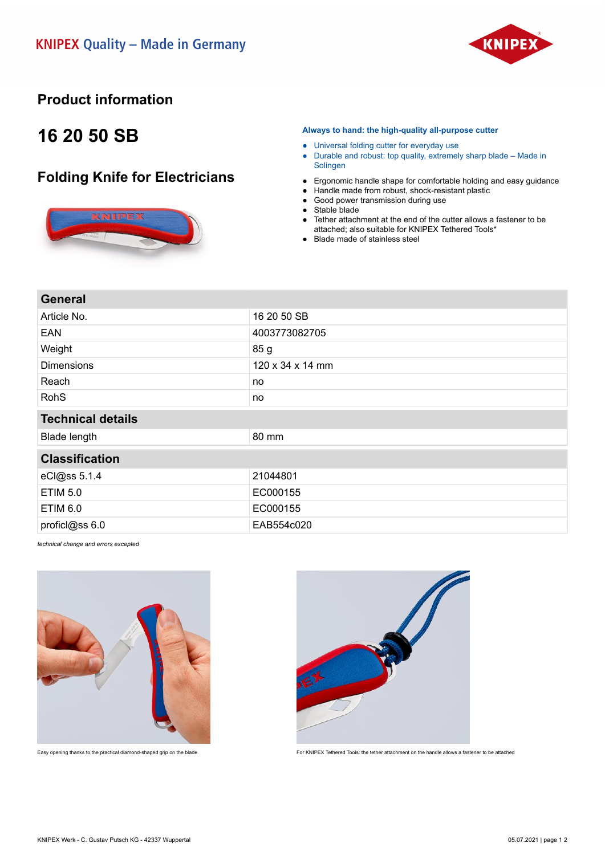

## **Product information**

## **16 20 50 SB**

## **Folding Knife for Electricians**



**Always to hand: the high-quality all-purpose cutter**

- Universal folding cutter for everyday use
- Durable and robust: top quality, extremely sharp blade Made in Solingen
- Ergonomic handle shape for comfortable holding and easy guidance
- Handle made from robust, shock-resistant plastic
- Good power transmission during use
- Stable blade
- Tether attachment at the end of the cutter allows a fastener to be attached; also suitable for KNIPEX Tethered Tools\*
- Blade made of stainless steel

| General |
|---------|
|---------|

| Article No.              | 16 20 50 SB                  |
|--------------------------|------------------------------|
| <b>EAN</b>               | 4003773082705                |
| Weight                   | 85 g                         |
| <b>Dimensions</b>        | $120 \times 34 \times 14$ mm |
| Reach                    | no                           |
| <b>RohS</b>              | no                           |
| <b>Technical details</b> |                              |
| <b>Blade length</b>      | 80 mm                        |
| <b>Classification</b>    |                              |
| eCl@ss 5.1.4             | 21044801                     |
| <b>ETIM 5.0</b>          | EC000155                     |
| <b>ETIM 6.0</b>          | EC000155                     |
| proficl@ss 6.0           | EAB554c020                   |

*technical change and errors excepted*





Easy opening thanks to the practical diamond-shaped grip on the blade For KNIPEX Tethered Tools: the tether attachment on the handle allows a fastener to be attached